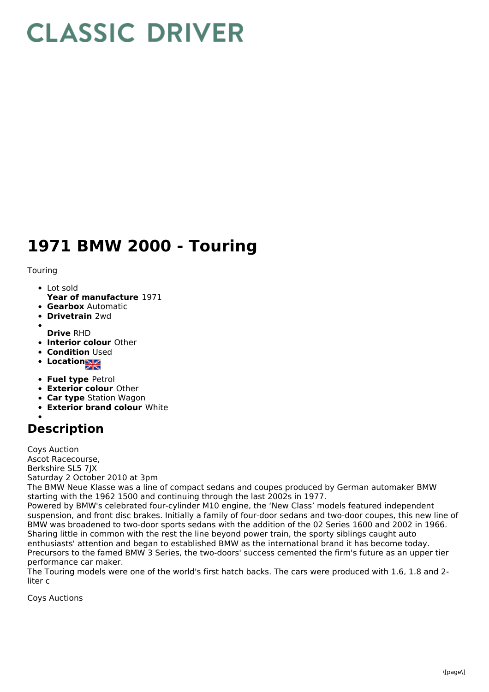## **CLASSIC DRIVER**

## **1971 BMW 2000 - Touring**

Touring

- Lot sold
- **Year of manufacture** 1971
- **Gearbox** Automatic
- **Drivetrain** 2wd
- **Drive** RHD
- **Interior colour** Other
- **Condition Used**
- Location<sub>al</sub>
- **Fuel type** Petrol
- **Exterior colour** Other
- **Car type** Station Wagon
- **Exterior brand colour** White

## **Description**

Coys Auction Ascot Racecourse, Berkshire SL5 7JX Saturday 2 October 2010 at 3pm

The BMW Neue Klasse was a line of compact sedans and coupes produced by German automaker BMW starting with the 1962 1500 and continuing through the last 2002s in 1977.

Powered by BMW's celebrated four-cylinder M10 engine, the 'New Class' models featured independent suspension, and front disc brakes. Initially a family of four-door sedans and two-door coupes, this new line of BMW was broadened to two-door sports sedans with the addition of the 02 Series 1600 and 2002 in 1966. Sharing little in common with the rest the line beyond power train, the sporty siblings caught auto enthusiasts' attention and began to established BMW as the international brand it has become today. Precursors to the famed BMW 3 Series, the two-doors' success cemented the firm's future as an upper tier performance car maker.

The Touring models were one of the world's first hatch backs. The cars were produced with 1.6, 1.8 and 2 liter c

Coys Auctions